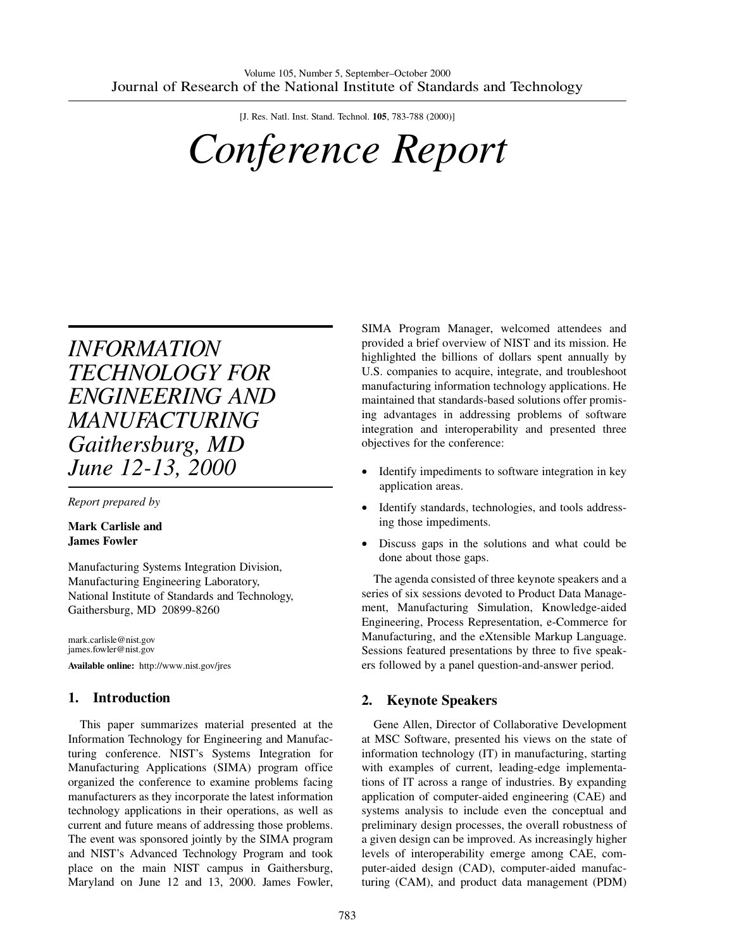[J. Res. Natl. Inst. Stand. Technol. **105**, 783-788 (2000)]

# *Conference Report*

# *INFORMATION TECHNOLOGY FOR ENGINEERING AND MANUFACTURING Gaithersburg, MD June 12-13, 2000*

*Report prepared by*

**Mark Carlisle and James Fowler**

Manufacturing Systems Integration Division, Manufacturing Engineering Laboratory, National Institute of Standards and Technology, Gaithersburg, MD 20899-8260

mark.carlisle@nist.gov james.fowler@nist.gov **Available online:** http://www.nist.gov/jres

# **1. Introduction**

This paper summarizes material presented at the Information Technology for Engineering and Manufacturing conference. NIST's Systems Integration for Manufacturing Applications (SIMA) program office organized the conference to examine problems facing manufacturers as they incorporate the latest information technology applications in their operations, as well as current and future means of addressing those problems. The event was sponsored jointly by the SIMA program and NIST's Advanced Technology Program and took place on the main NIST campus in Gaithersburg, Maryland on June 12 and 13, 2000. James Fowler,

SIMA Program Manager, welcomed attendees and provided a brief overview of NIST and its mission. He highlighted the billions of dollars spent annually by U.S. companies to acquire, integrate, and troubleshoot manufacturing information technology applications. He maintained that standards-based solutions offer promising advantages in addressing problems of software integration and interoperability and presented three objectives for the conference:

- Identify impediments to software integration in key application areas.
- Identify standards, technologies, and tools addressing those impediments.
- Discuss gaps in the solutions and what could be done about those gaps.

The agenda consisted of three keynote speakers and a series of six sessions devoted to Product Data Management, Manufacturing Simulation, Knowledge-aided Engineering, Process Representation, e-Commerce for Manufacturing, and the eXtensible Markup Language. Sessions featured presentations by three to five speakers followed by a panel question-and-answer period.

#### **2. Keynote Speakers**

Gene Allen, Director of Collaborative Development at MSC Software, presented his views on the state of information technology (IT) in manufacturing, starting with examples of current, leading-edge implementations of IT across a range of industries. By expanding application of computer-aided engineering (CAE) and systems analysis to include even the conceptual and preliminary design processes, the overall robustness of a given design can be improved. As increasingly higher levels of interoperability emerge among CAE, computer-aided design (CAD), computer-aided manufacturing (CAM), and product data management (PDM)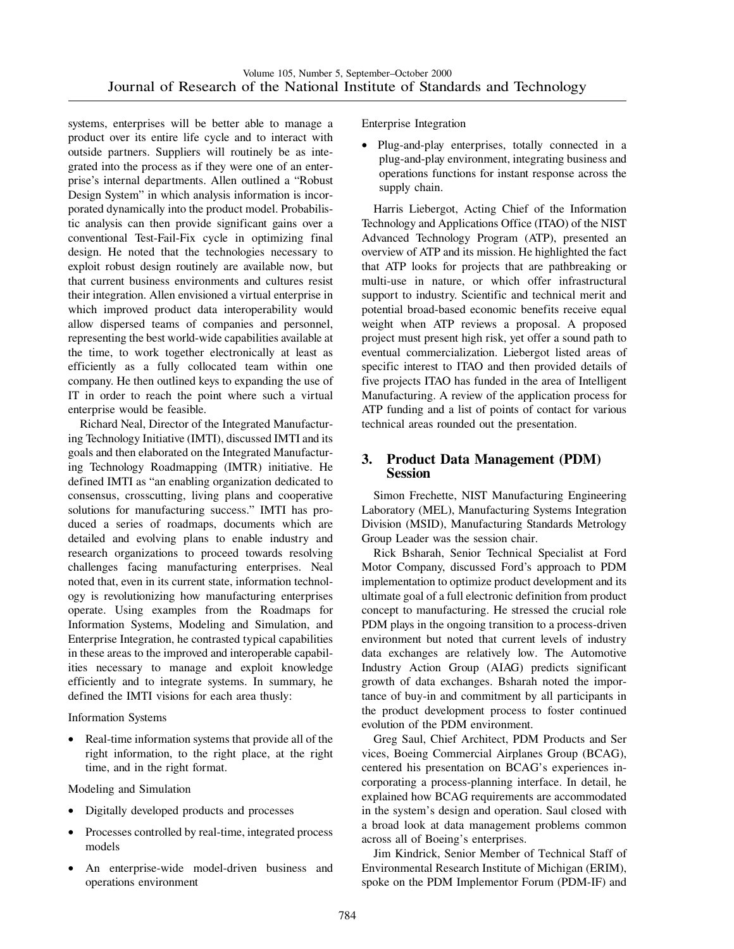systems, enterprises will be better able to manage a product over its entire life cycle and to interact with outside partners. Suppliers will routinely be as integrated into the process as if they were one of an enterprise's internal departments. Allen outlined a "Robust Design System" in which analysis information is incorporated dynamically into the product model. Probabilistic analysis can then provide significant gains over a conventional Test-Fail-Fix cycle in optimizing final design. He noted that the technologies necessary to exploit robust design routinely are available now, but that current business environments and cultures resist their integration. Allen envisioned a virtual enterprise in which improved product data interoperability would allow dispersed teams of companies and personnel, representing the best world-wide capabilities available at the time, to work together electronically at least as efficiently as a fully collocated team within one company. He then outlined keys to expanding the use of IT in order to reach the point where such a virtual enterprise would be feasible.

Richard Neal, Director of the Integrated Manufacturing Technology Initiative (IMTI), discussed IMTI and its goals and then elaborated on the Integrated Manufacturing Technology Roadmapping (IMTR) initiative. He defined IMTI as "an enabling organization dedicated to consensus, crosscutting, living plans and cooperative solutions for manufacturing success." IMTI has produced a series of roadmaps, documents which are detailed and evolving plans to enable industry and research organizations to proceed towards resolving challenges facing manufacturing enterprises. Neal noted that, even in its current state, information technology is revolutionizing how manufacturing enterprises operate. Using examples from the Roadmaps for Information Systems, Modeling and Simulation, and Enterprise Integration, he contrasted typical capabilities in these areas to the improved and interoperable capabilities necessary to manage and exploit knowledge efficiently and to integrate systems. In summary, he defined the IMTI visions for each area thusly:

Information Systems

Real-time information systems that provide all of the right information, to the right place, at the right time, and in the right format.

Modeling and Simulation

- Digitally developed products and processes
- Processes controlled by real-time, integrated process models
- An enterprise-wide model-driven business and operations environment

Enterprise Integration

• Plug-and-play enterprises, totally connected in a plug-and-play environment, integrating business and operations functions for instant response across the supply chain.

Harris Liebergot, Acting Chief of the Information Technology and Applications Office (ITAO) of the NIST Advanced Technology Program (ATP), presented an overview of ATP and its mission. He highlighted the fact that ATP looks for projects that are pathbreaking or multi-use in nature, or which offer infrastructural support to industry. Scientific and technical merit and potential broad-based economic benefits receive equal weight when ATP reviews a proposal. A proposed project must present high risk, yet offer a sound path to eventual commercialization. Liebergot listed areas of specific interest to ITAO and then provided details of five projects ITAO has funded in the area of Intelligent Manufacturing. A review of the application process for ATP funding and a list of points of contact for various technical areas rounded out the presentation.

#### **3. Product Data Management (PDM) Session**

Simon Frechette, NIST Manufacturing Engineering Laboratory (MEL), Manufacturing Systems Integration Division (MSID), Manufacturing Standards Metrology Group Leader was the session chair.

Rick Bsharah, Senior Technical Specialist at Ford Motor Company, discussed Ford's approach to PDM implementation to optimize product development and its ultimate goal of a full electronic definition from product concept to manufacturing. He stressed the crucial role PDM plays in the ongoing transition to a process-driven environment but noted that current levels of industry data exchanges are relatively low. The Automotive Industry Action Group (AIAG) predicts significant growth of data exchanges. Bsharah noted the importance of buy-in and commitment by all participants in the product development process to foster continued evolution of the PDM environment.

Greg Saul, Chief Architect, PDM Products and Ser vices, Boeing Commercial Airplanes Group (BCAG), centered his presentation on BCAG's experiences incorporating a process-planning interface. In detail, he explained how BCAG requirements are accommodated in the system's design and operation. Saul closed with a broad look at data management problems common across all of Boeing's enterprises.

Jim Kindrick, Senior Member of Technical Staff of Environmental Research Institute of Michigan (ERIM), spoke on the PDM Implementor Forum (PDM-IF) and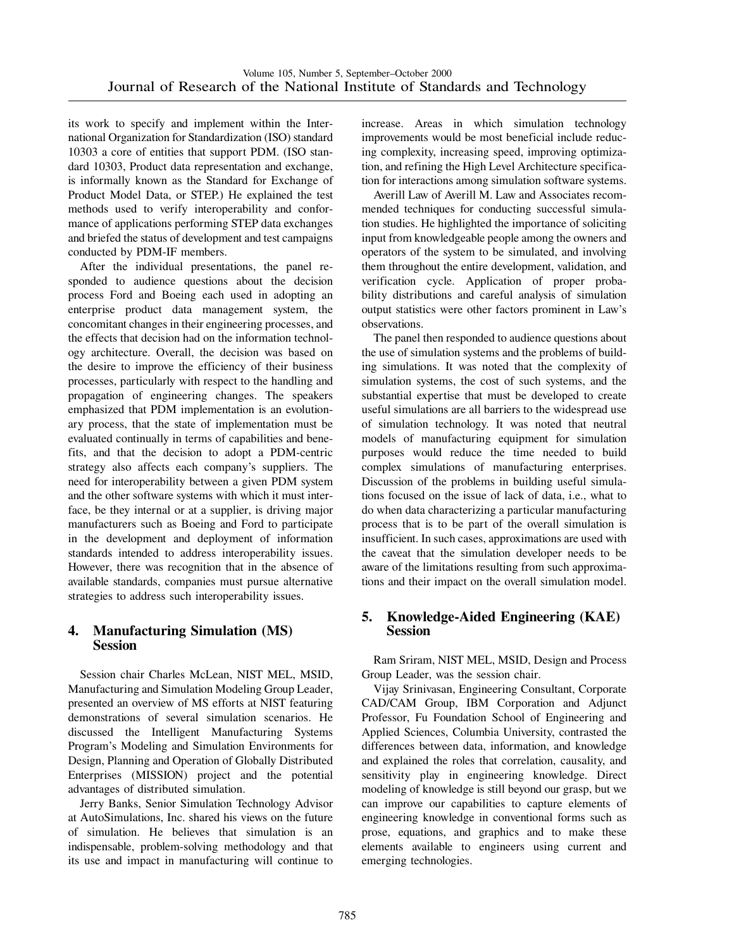its work to specify and implement within the International Organization for Standardization (ISO) standard 10303 a core of entities that support PDM. (ISO standard 10303, Product data representation and exchange, is informally known as the Standard for Exchange of Product Model Data, or STEP.) He explained the test methods used to verify interoperability and conformance of applications performing STEP data exchanges and briefed the status of development and test campaigns conducted by PDM-IF members.

After the individual presentations, the panel responded to audience questions about the decision process Ford and Boeing each used in adopting an enterprise product data management system, the concomitant changes in their engineering processes, and the effects that decision had on the information technology architecture. Overall, the decision was based on the desire to improve the efficiency of their business processes, particularly with respect to the handling and propagation of engineering changes. The speakers emphasized that PDM implementation is an evolutionary process, that the state of implementation must be evaluated continually in terms of capabilities and benefits, and that the decision to adopt a PDM-centric strategy also affects each company's suppliers. The need for interoperability between a given PDM system and the other software systems with which it must interface, be they internal or at a supplier, is driving major manufacturers such as Boeing and Ford to participate in the development and deployment of information standards intended to address interoperability issues. However, there was recognition that in the absence of available standards, companies must pursue alternative strategies to address such interoperability issues.

#### **4. Manufacturing Simulation (MS) Session**

Session chair Charles McLean, NIST MEL, MSID, Manufacturing and Simulation Modeling Group Leader, presented an overview of MS efforts at NIST featuring demonstrations of several simulation scenarios. He discussed the Intelligent Manufacturing Systems Program's Modeling and Simulation Environments for Design, Planning and Operation of Globally Distributed Enterprises (MISSION) project and the potential advantages of distributed simulation.

Jerry Banks, Senior Simulation Technology Advisor at AutoSimulations, Inc. shared his views on the future of simulation. He believes that simulation is an indispensable, problem-solving methodology and that its use and impact in manufacturing will continue to increase. Areas in which simulation technology improvements would be most beneficial include reducing complexity, increasing speed, improving optimization, and refining the High Level Architecture specification for interactions among simulation software systems.

Averill Law of Averill M. Law and Associates recommended techniques for conducting successful simulation studies. He highlighted the importance of soliciting input from knowledgeable people among the owners and operators of the system to be simulated, and involving them throughout the entire development, validation, and verification cycle. Application of proper probability distributions and careful analysis of simulation output statistics were other factors prominent in Law's observations.

The panel then responded to audience questions about the use of simulation systems and the problems of building simulations. It was noted that the complexity of simulation systems, the cost of such systems, and the substantial expertise that must be developed to create useful simulations are all barriers to the widespread use of simulation technology. It was noted that neutral models of manufacturing equipment for simulation purposes would reduce the time needed to build complex simulations of manufacturing enterprises. Discussion of the problems in building useful simulations focused on the issue of lack of data, i.e., what to do when data characterizing a particular manufacturing process that is to be part of the overall simulation is insufficient. In such cases, approximations are used with the caveat that the simulation developer needs to be aware of the limitations resulting from such approximations and their impact on the overall simulation model.

#### **5. Knowledge-Aided Engineering (KAE) Session**

Ram Sriram, NIST MEL, MSID, Design and Process Group Leader, was the session chair.

Vijay Srinivasan, Engineering Consultant, Corporate CAD/CAM Group, IBM Corporation and Adjunct Professor, Fu Foundation School of Engineering and Applied Sciences, Columbia University, contrasted the differences between data, information, and knowledge and explained the roles that correlation, causality, and sensitivity play in engineering knowledge. Direct modeling of knowledge is still beyond our grasp, but we can improve our capabilities to capture elements of engineering knowledge in conventional forms such as prose, equations, and graphics and to make these elements available to engineers using current and emerging technologies.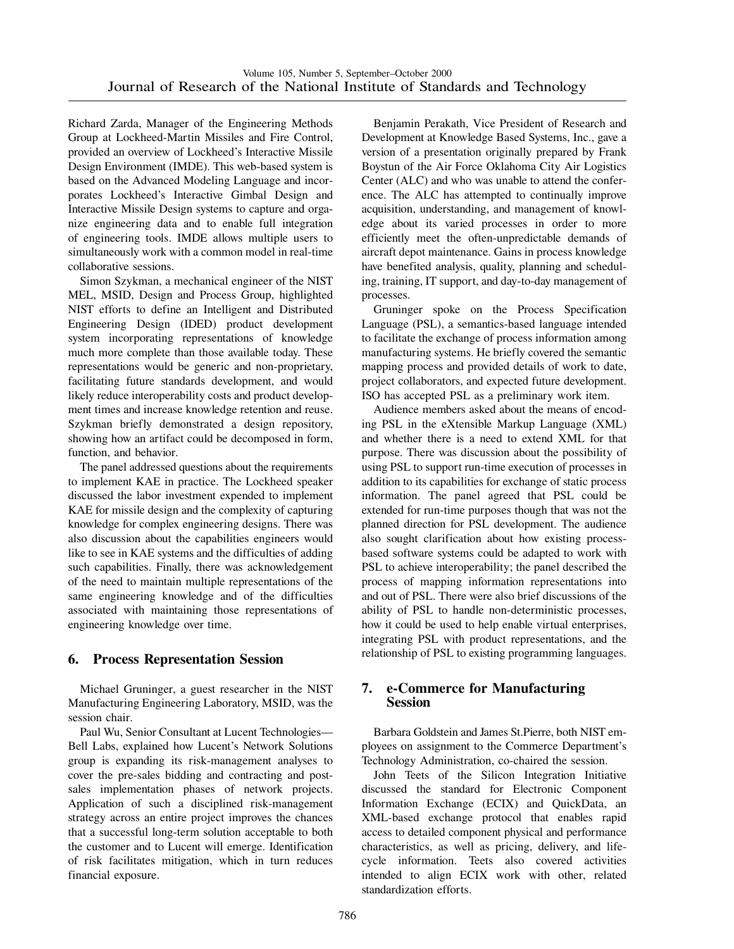Richard Zarda, Manager of the Engineering Methods Group at Lockheed-Martin Missiles and Fire Control, provided an overview of Lockheed's Interactive Missile Design Environment (IMDE). This web-based system is based on the Advanced Modeling Language and incorporates Lockheed's Interactive Gimbal Design and Interactive Missile Design systems to capture and organize engineering data and to enable full integration of engineering tools. IMDE allows multiple users to simultaneously work with a common model in real-time collaborative sessions.

Simon Szykman, a mechanical engineer of the NIST MEL, MSID, Design and Process Group, highlighted NIST efforts to define an Intelligent and Distributed Engineering Design (IDED) product development system incorporating representations of knowledge much more complete than those available today. These representations would be generic and non-proprietary, facilitating future standards development, and would likely reduce interoperability costs and product development times and increase knowledge retention and reuse. Szykman briefly demonstrated a design repository, showing how an artifact could be decomposed in form, function, and behavior.

The panel addressed questions about the requirements to implement KAE in practice. The Lockheed speaker discussed the labor investment expended to implement KAE for missile design and the complexity of capturing knowledge for complex engineering designs. There was also discussion about the capabilities engineers would like to see in KAE systems and the difficulties of adding such capabilities. Finally, there was acknowledgement of the need to maintain multiple representations of the same engineering knowledge and of the difficulties associated with maintaining those representations of engineering knowledge over time.

# **6. Process Representation Session**

Michael Gruninger, a guest researcher in the NIST Manufacturing Engineering Laboratory, MSID, was the session chair.

Paul Wu, Senior Consultant at Lucent Technologies— Bell Labs, explained how Lucent's Network Solutions group is expanding its risk-management analyses to cover the pre-sales bidding and contracting and postsales implementation phases of network projects. Application of such a disciplined risk-management strategy across an entire project improves the chances that a successful long-term solution acceptable to both the customer and to Lucent will emerge. Identification of risk facilitates mitigation, which in turn reduces financial exposure.

Benjamin Perakath, Vice President of Research and Development at Knowledge Based Systems, Inc., gave a version of a presentation originally prepared by Frank Boystun of the Air Force Oklahoma City Air Logistics Center (ALC) and who was unable to attend the conference. The ALC has attempted to continually improve acquisition, understanding, and management of knowledge about its varied processes in order to more efficiently meet the often-unpredictable demands of aircraft depot maintenance. Gains in process knowledge have benefited analysis, quality, planning and scheduling, training, IT support, and day-to-day management of processes.

Gruninger spoke on the Process Specification Language (PSL), a semantics-based language intended to facilitate the exchange of process information among manufacturing systems. He briefly covered the semantic mapping process and provided details of work to date, project collaborators, and expected future development. ISO has accepted PSL as a preliminary work item.

Audience members asked about the means of encoding PSL in the eXtensible Markup Language (XML) and whether there is a need to extend XML for that purpose. There was discussion about the possibility of using PSL to support run-time execution of processes in addition to its capabilities for exchange of static process information. The panel agreed that PSL could be extended for run-time purposes though that was not the planned direction for PSL development. The audience also sought clarification about how existing processbased software systems could be adapted to work with PSL to achieve interoperability; the panel described the process of mapping information representations into and out of PSL. There were also brief discussions of the ability of PSL to handle non-deterministic processes, how it could be used to help enable virtual enterprises, integrating PSL with product representations, and the relationship of PSL to existing programming languages.

# **7. e-Commerce for Manufacturing Session**

Barbara Goldstein and James St.Pierre, both NIST employees on assignment to the Commerce Department's Technology Administration, co-chaired the session.

John Teets of the Silicon Integration Initiative discussed the standard for Electronic Component Information Exchange (ECIX) and QuickData, an XML-based exchange protocol that enables rapid access to detailed component physical and performance characteristics, as well as pricing, delivery, and lifecycle information. Teets also covered activities intended to align ECIX work with other, related standardization efforts.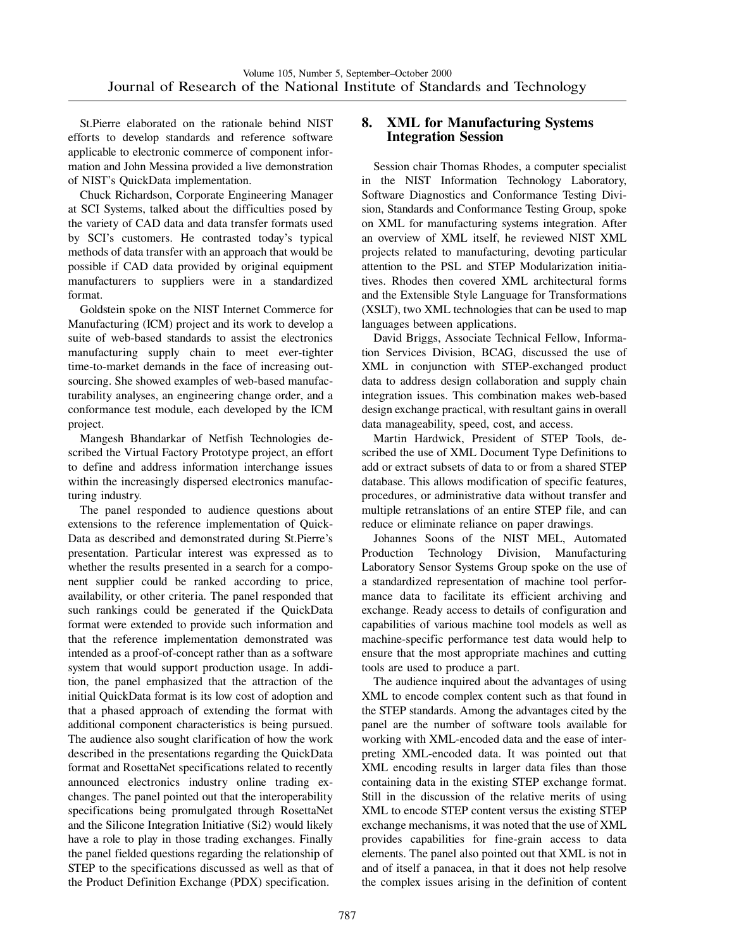St.Pierre elaborated on the rationale behind NIST efforts to develop standards and reference software applicable to electronic commerce of component information and John Messina provided a live demonstration of NIST's QuickData implementation.

Chuck Richardson, Corporate Engineering Manager at SCI Systems, talked about the difficulties posed by the variety of CAD data and data transfer formats used by SCI's customers. He contrasted today's typical methods of data transfer with an approach that would be possible if CAD data provided by original equipment manufacturers to suppliers were in a standardized format.

Goldstein spoke on the NIST Internet Commerce for Manufacturing (ICM) project and its work to develop a suite of web-based standards to assist the electronics manufacturing supply chain to meet ever-tighter time-to-market demands in the face of increasing outsourcing. She showed examples of web-based manufacturability analyses, an engineering change order, and a conformance test module, each developed by the ICM project.

Mangesh Bhandarkar of Netfish Technologies described the Virtual Factory Prototype project, an effort to define and address information interchange issues within the increasingly dispersed electronics manufacturing industry.

The panel responded to audience questions about extensions to the reference implementation of Quick-Data as described and demonstrated during St.Pierre's presentation. Particular interest was expressed as to whether the results presented in a search for a component supplier could be ranked according to price, availability, or other criteria. The panel responded that such rankings could be generated if the QuickData format were extended to provide such information and that the reference implementation demonstrated was intended as a proof-of-concept rather than as a software system that would support production usage. In addition, the panel emphasized that the attraction of the initial QuickData format is its low cost of adoption and that a phased approach of extending the format with additional component characteristics is being pursued. The audience also sought clarification of how the work described in the presentations regarding the QuickData format and RosettaNet specifications related to recently announced electronics industry online trading exchanges. The panel pointed out that the interoperability specifications being promulgated through RosettaNet and the Silicone Integration Initiative (Si2) would likely have a role to play in those trading exchanges. Finally the panel fielded questions regarding the relationship of STEP to the specifications discussed as well as that of the Product Definition Exchange (PDX) specification.

# **8. XML for Manufacturing Systems Integration Session**

Session chair Thomas Rhodes, a computer specialist in the NIST Information Technology Laboratory, Software Diagnostics and Conformance Testing Division, Standards and Conformance Testing Group, spoke on XML for manufacturing systems integration. After an overview of XML itself, he reviewed NIST XML projects related to manufacturing, devoting particular attention to the PSL and STEP Modularization initiatives. Rhodes then covered XML architectural forms and the Extensible Style Language for Transformations (XSLT), two XML technologies that can be used to map languages between applications.

David Briggs, Associate Technical Fellow, Information Services Division, BCAG, discussed the use of XML in conjunction with STEP-exchanged product data to address design collaboration and supply chain integration issues. This combination makes web-based design exchange practical, with resultant gains in overall data manageability, speed, cost, and access.

Martin Hardwick, President of STEP Tools, described the use of XML Document Type Definitions to add or extract subsets of data to or from a shared STEP database. This allows modification of specific features, procedures, or administrative data without transfer and multiple retranslations of an entire STEP file, and can reduce or eliminate reliance on paper drawings.

Johannes Soons of the NIST MEL, Automated Production Technology Division, Manufacturing Laboratory Sensor Systems Group spoke on the use of a standardized representation of machine tool performance data to facilitate its efficient archiving and exchange. Ready access to details of configuration and capabilities of various machine tool models as well as machine-specific performance test data would help to ensure that the most appropriate machines and cutting tools are used to produce a part.

The audience inquired about the advantages of using XML to encode complex content such as that found in the STEP standards. Among the advantages cited by the panel are the number of software tools available for working with XML-encoded data and the ease of interpreting XML-encoded data. It was pointed out that XML encoding results in larger data files than those containing data in the existing STEP exchange format. Still in the discussion of the relative merits of using XML to encode STEP content versus the existing STEP exchange mechanisms, it was noted that the use of XML provides capabilities for fine-grain access to data elements. The panel also pointed out that XML is not in and of itself a panacea, in that it does not help resolve the complex issues arising in the definition of content